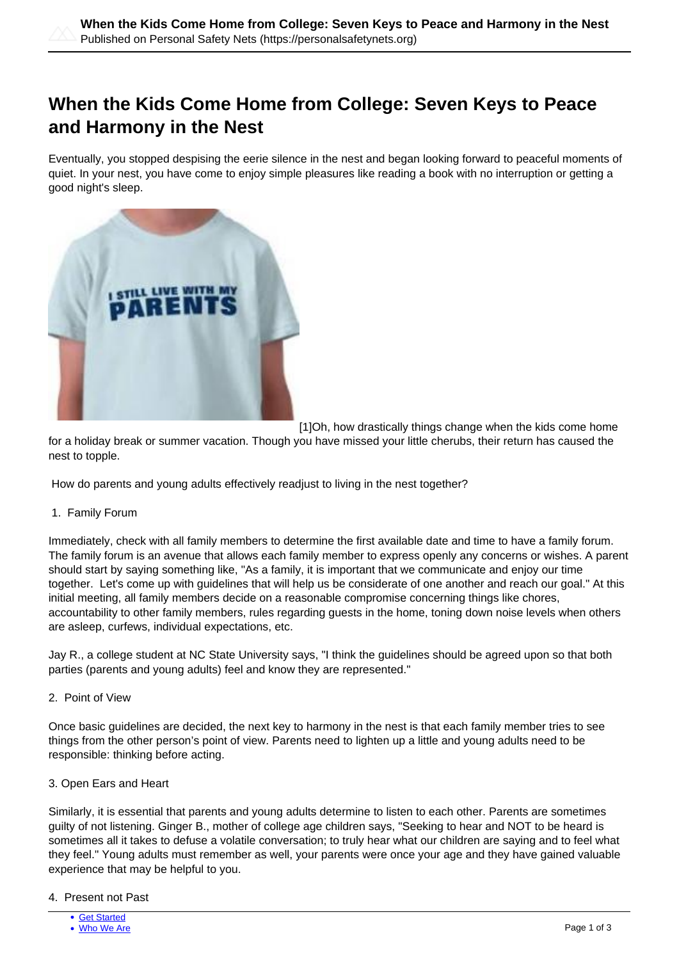# **When the Kids Come Home from College: Seven Keys to Peace and Harmony in the Nest**

Eventually, you stopped despising the eerie silence in the nest and began looking forward to peaceful moments of quiet. In your nest, you have come to enjoy simple pleasures like reading a book with no interruption or getting a good night's sleep.



[1]Oh, how drastically things change when the kids come home

for a holiday break or summer vacation. Though you have missed your little cherubs, their return has caused the nest to topple.

How do parents and young adults effectively readjust to living in the nest together?

## 1. Family Forum

Immediately, check with all family members to determine the first available date and time to have a family forum. The family forum is an avenue that allows each family member to express openly any concerns or wishes. A parent should start by saying something like, "As a family, it is important that we communicate and enjoy our time together. Let's come up with guidelines that will help us be considerate of one another and reach our goal." At this initial meeting, all family members decide on a reasonable compromise concerning things like chores, accountability to other family members, rules regarding guests in the home, toning down noise levels when others are asleep, curfews, individual expectations, etc.

Jay R., a college student at NC State University says, "I think the guidelines should be agreed upon so that both parties (parents and young adults) feel and know they are represented."

#### 2. Point of View

Once basic guidelines are decided, the next key to harmony in the nest is that each family member tries to see things from the other person's point of view. Parents need to lighten up a little and young adults need to be responsible: thinking before acting.

## 3. Open Ears and Heart

Similarly, it is essential that parents and young adults determine to listen to each other. Parents are sometimes guilty of not listening. Ginger B., mother of college age children says, "Seeking to hear and NOT to be heard is sometimes all it takes to defuse a volatile conversation; to truly hear what our children are saying and to feel what they feel." Young adults must remember as well, your parents were once your age and they have gained valuable experience that may be helpful to you.

#### 4. Present not Past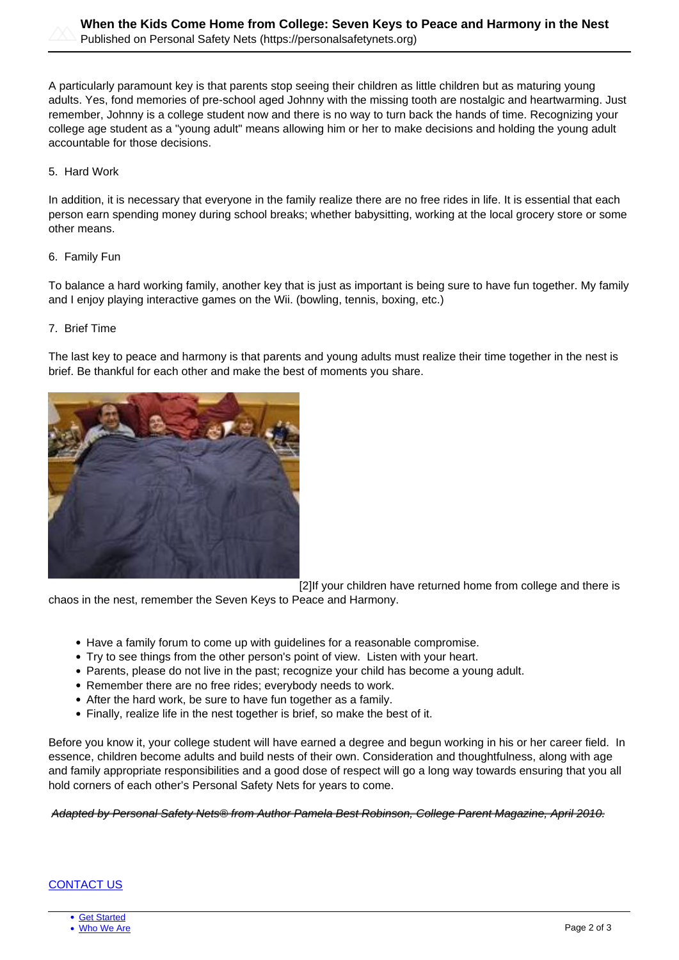A particularly paramount key is that parents stop seeing their children as little children but as maturing young adults. Yes, fond memories of pre-school aged Johnny with the missing tooth are nostalgic and heartwarming. Just remember, Johnny is a college student now and there is no way to turn back the hands of time. Recognizing your college age student as a "young adult" means allowing him or her to make decisions and holding the young adult accountable for those decisions.

5. Hard Work

In addition, it is necessary that everyone in the family realize there are no free rides in life. It is essential that each person earn spending money during school breaks; whether babysitting, working at the local grocery store or some other means.

## 6. Family Fun

To balance a hard working family, another key that is just as important is being sure to have fun together. My family and I enjoy playing interactive games on the Wii. (bowling, tennis, boxing, etc.)

#### 7. Brief Time

The last key to peace and harmony is that parents and young adults must realize their time together in the nest is brief. Be thankful for each other and make the best of moments you share.



[2]If your children have returned home from college and there is

chaos in the nest, remember the Seven Keys to Peace and Harmony.

- Have a family forum to come up with guidelines for a reasonable compromise.
- Try to see things from the other person's point of view. Listen with your heart.
- Parents, please do not live in the past; recognize your child has become a young adult.
- Remember there are no free rides; everybody needs to work.
- After the hard work, be sure to have fun together as a family.
- Finally, realize life in the nest together is brief, so make the best of it.

Before you know it, your college student will have earned a degree and begun working in his or her career field. In essence, children become adults and build nests of their own. Consideration and thoughtfulness, along with age and family appropriate responsibilities and a good dose of respect will go a long way towards ensuring that you all hold corners of each other's Personal Safety Nets for years to come.

#### Adapted by Personal Safety Nets® from Author Pamela Best Robinson, College Parent Magazine, April 2010.

# [CONTACT US](https://personalsafetynets.org/contact)